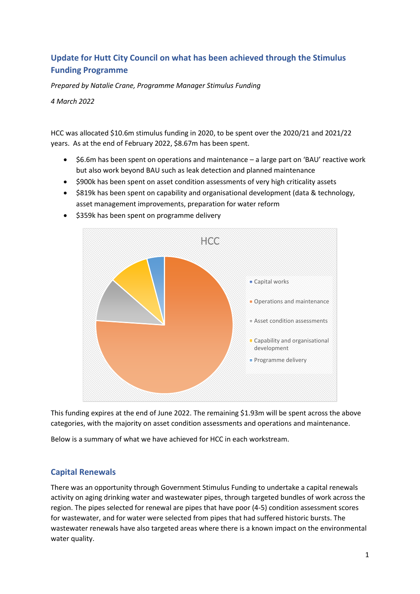# **Update for Hutt City Council on what has been achieved through the Stimulus Funding Programme**

*Prepared by Natalie Crane, Programme Manager Stimulus Funding*

*4 March 2022*

HCC was allocated \$10.6m stimulus funding in 2020, to be spent over the 2020/21 and 2021/22 years. As at the end of February 2022, \$8.67m has been spent.

- \$6.6m has been spent on operations and maintenance a large part on 'BAU' reactive work but also work beyond BAU such as leak detection and planned maintenance
- \$900k has been spent on asset condition assessments of very high criticality assets
- \$819k has been spent on capability and organisational development (data & technology, asset management improvements, preparation for water reform



• \$359k has been spent on programme delivery

This funding expires at the end of June 2022. The remaining \$1.93m will be spent across the above categories, with the majority on asset condition assessments and operations and maintenance.

Below is a summary of what we have achieved for HCC in each workstream.

## **Capital Renewals**

There was an opportunity through Government Stimulus Funding to undertake a capital renewals activity on aging drinking water and wastewater pipes, through targeted bundles of work across the region. The pipes selected for renewal are pipes that have poor (4-5) condition assessment scores for wastewater, and for water were selected from pipes that had suffered historic bursts. The wastewater renewals have also targeted areas where there is a known impact on the environmental water quality.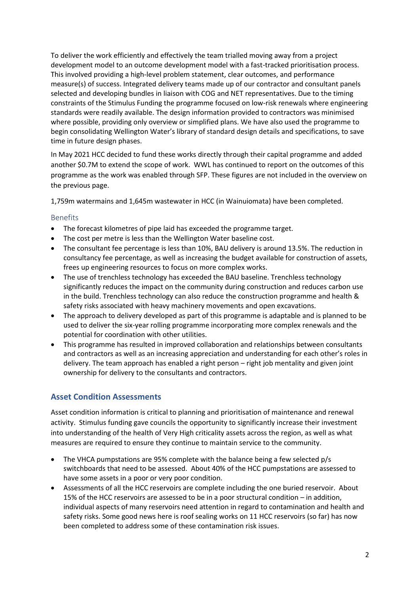To deliver the work efficiently and effectively the team trialled moving away from a project development model to an outcome development model with a fast-tracked prioritisation process. This involved providing a high-level problem statement, clear outcomes, and performance measure(s) of success. Integrated delivery teams made up of our contractor and consultant panels selected and developing bundles in liaison with COG and NET representatives. Due to the timing constraints of the Stimulus Funding the programme focused on low-risk renewals where engineering standards were readily available. The design information provided to contractors was minimised where possible, providing only overview or simplified plans. We have also used the programme to begin consolidating Wellington Water's library of standard design details and specifications, to save time in future design phases.

In May 2021 HCC decided to fund these works directly through their capital programme and added another \$0.7M to extend the scope of work. WWL has continued to report on the outcomes of this programme as the work was enabled through SFP. These figures are not included in the overview on the previous page.

1,759m watermains and 1,645m wastewater in HCC (in Wainuiomata) have been completed.

#### Benefits

- The forecast kilometres of pipe laid has exceeded the programme target.
- The cost per metre is less than the Wellington Water baseline cost.
- The consultant fee percentage is less than 10%, BAU delivery is around 13.5%. The reduction in consultancy fee percentage, as well as increasing the budget available for construction of assets, frees up engineering resources to focus on more complex works.
- The use of trenchless technology has exceeded the BAU baseline. Trenchless technology significantly reduces the impact on the community during construction and reduces carbon use in the build. Trenchless technology can also reduce the construction programme and health & safety risks associated with heavy machinery movements and open excavations.
- The approach to delivery developed as part of this programme is adaptable and is planned to be used to deliver the six-year rolling programme incorporating more complex renewals and the potential for coordination with other utilities.
- This programme has resulted in improved collaboration and relationships between consultants and contractors as well as an increasing appreciation and understanding for each other's roles in delivery. The team approach has enabled a right person – right job mentality and given joint ownership for delivery to the consultants and contractors.

## **Asset Condition Assessments**

Asset condition information is critical to planning and prioritisation of maintenance and renewal activity. Stimulus funding gave councils the opportunity to significantly increase their investment into understanding of the health of Very High criticality assets across the region, as well as what measures are required to ensure they continue to maintain service to the community.

- The VHCA pumpstations are 95% complete with the balance being a few selected p/s switchboards that need to be assessed. About 40% of the HCC pumpstations are assessed to have some assets in a poor or very poor condition.
- Assessments of all the HCC reservoirs are complete including the one buried reservoir. About 15% of the HCC reservoirs are assessed to be in a poor structural condition – in addition, individual aspects of many reservoirs need attention in regard to contamination and health and safety risks. Some good news here is roof sealing works on 11 HCC reservoirs (so far) has now been completed to address some of these contamination risk issues.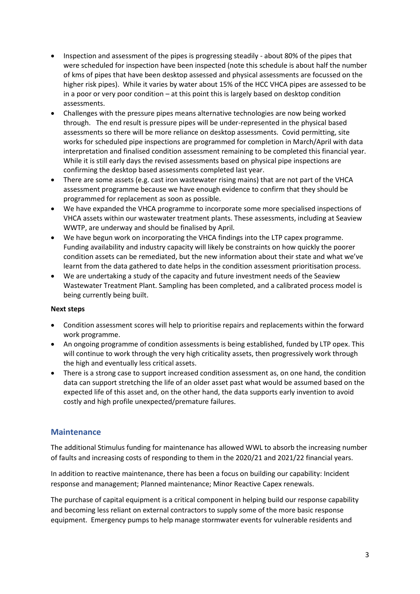- Inspection and assessment of the pipes is progressing steadily about 80% of the pipes that were scheduled for inspection have been inspected (note this schedule is about half the number of kms of pipes that have been desktop assessed and physical assessments are focussed on the higher risk pipes). While it varies by water about 15% of the HCC VHCA pipes are assessed to be in a poor or very poor condition – at this point this is largely based on desktop condition assessments.
- Challenges with the pressure pipes means alternative technologies are now being worked through. The end result is pressure pipes will be under-represented in the physical based assessments so there will be more reliance on desktop assessments. Covid permitting, site works for scheduled pipe inspections are programmed for completion in March/April with data interpretation and finalised condition assessment remaining to be completed this financial year. While it is still early days the revised assessments based on physical pipe inspections are confirming the desktop based assessments completed last year.
- There are some assets (e.g. cast iron wastewater rising mains) that are not part of the VHCA assessment programme because we have enough evidence to confirm that they should be programmed for replacement as soon as possible.
- We have expanded the VHCA programme to incorporate some more specialised inspections of VHCA assets within our wastewater treatment plants. These assessments, including at Seaview WWTP, are underway and should be finalised by April.
- We have begun work on incorporating the VHCA findings into the LTP capex programme. Funding availability and industry capacity will likely be constraints on how quickly the poorer condition assets can be remediated, but the new information about their state and what we've learnt from the data gathered to date helps in the condition assessment prioritisation process.
- We are undertaking a study of the capacity and future investment needs of the Seaview Wastewater Treatment Plant. Sampling has been completed, and a calibrated process model is being currently being built.

#### **Next steps**

- Condition assessment scores will help to prioritise repairs and replacements within the forward work programme.
- An ongoing programme of condition assessments is being established, funded by LTP opex. This will continue to work through the very high criticality assets, then progressively work through the high and eventually less critical assets.
- There is a strong case to support increased condition assessment as, on one hand, the condition data can support stretching the life of an older asset past what would be assumed based on the expected life of this asset and, on the other hand, the data supports early invention to avoid costly and high profile unexpected/premature failures.

### **Maintenance**

The additional Stimulus funding for maintenance has allowed WWL to absorb the increasing number of faults and increasing costs of responding to them in the 2020/21 and 2021/22 financial years.

In addition to reactive maintenance, there has been a focus on building our capability: Incident response and management; Planned maintenance; Minor Reactive Capex renewals.

The purchase of capital equipment is a critical component in helping build our response capability and becoming less reliant on external contractors to supply some of the more basic response equipment. Emergency pumps to help manage stormwater events for vulnerable residents and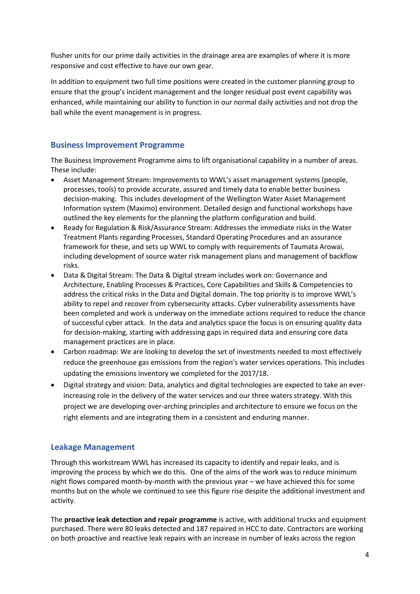flusher units for our prime daily activities in the drainage area are examples of where it is more responsive and cost effective to have our own gear.

In addition to equipment two full time positions were created in the customer planning group to ensure that the group's incident management and the longer residual post event capability was enhanced, while maintaining our ability to function in our normal daily activities and not drop the ball while the event management is in progress.

### **Business Improvement Programme**

The Business Improvement Programme aims to lift organisational capability in a number of areas. These include:

- Asset Management Stream: Improvements to WWL's asset management systems (people, processes, tools) to provide accurate, assured and timely data to enable better business decision-making. This includes development of the Wellington Water Asset Management Information system (Maximo) environment. Detailed design and functional workshops have outlined the key elements for the planning the platform configuration and build.
- Ready for Regulation & Risk/Assurance Stream: Addresses the immediate risks in the Water Treatment Plants regarding Processes, Standard Operating Procedures and an assurance framework for these, and sets up WWL to comply with requirements of Taumata Arowai, including development of source water risk management plans and management of backflow risks.
- Data & Digital Stream: The Data & Digital stream includes work on: Governance and Architecture, Enabling Processes & Practices, Core Capabilities and Skills & Competencies to address the critical risks in the Data and Digital domain. The top priority is to improve WWL's ability to repel and recover from cybersecurity attacks. Cyber vulnerability assessments have been completed and work is underway on the immediate actions required to reduce the chance of successful cyber attack. In the data and analytics space the focus is on ensuring quality data for decision-making, starting with addressing gaps in required data and ensuring core data management practices are in place.
- Carbon roadmap: We are looking to develop the set of investments needed to most effectively reduce the greenhouse gas emissions from the region's water services operations. This includes updating the emissions inventory we completed for the 2017/18.
- Digital strategy and vision: Data, analytics and digital technologies are expected to take an everincreasing role in the delivery of the water services and our three waters strategy. With this project we are developing over-arching principles and architecture to ensure we focus on the right elements and are integrating them in a consistent and enduring manner.

## **Leakage Management**

Through this workstream WWL has increased its capacity to identify and repair leaks, and is improving the process by which we do this. One of the aims of the work was to reduce minimum night flows compared month-by-month with the previous year – we have achieved this for some months but on the whole we continued to see this figure rise despite the additional investment and activity.

The **proactive leak detection and repair programme** is active, with additional trucks and equipment purchased. There were 80 leaks detected and 187 repaired in HCC to date. Contractors are working on both proactive and reactive leak repairs with an increase in number of leaks across the region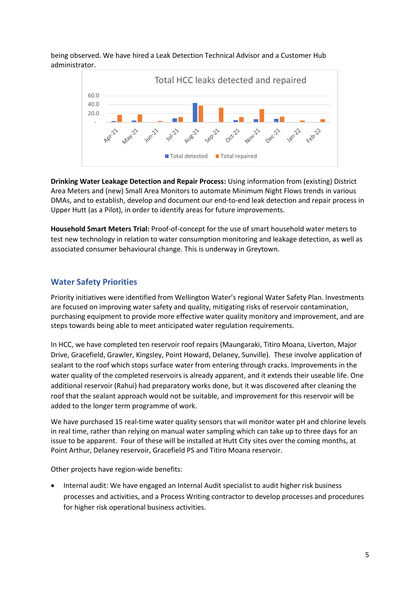being observed. We have hired a Leak Detection Technical Advisor and a Customer Hub administrator.



**Drinking Water Leakage Detection and Repair Process:** Using information from (existing) District Area Meters and (new) Small Area Monitors to automate Minimum Night Flows trends in various DMAs, and to establish, develop and document our end-to-end leak detection and repair process in Upper Hutt (as a Pilot), in order to identify areas for future improvements.

**Household Smart Meters Trial:** Proof-of-concept for the use of smart household water meters to test new technology in relation to water consumption monitoring and leakage detection, as well as associated consumer behavioural change. This is underway in Greytown.

### **Water Safety Priorities**

Priority initiatives were identified from Wellington Water's regional Water Safety Plan. Investments are focused on improving water safety and quality, mitigating risks of reservoir contamination, purchasing equipment to provide more effective water quality monitory and improvement, and are steps towards being able to meet anticipated water regulation requirements.

In HCC, we have completed ten reservoir roof repairs (Maungaraki, Titiro Moana, Liverton, Major Drive, Gracefield, Grawler, Kingsley, Point Howard, Delaney, Sunville). These involve application of sealant to the roof which stops surface water from entering through cracks. Improvements in the water quality of the completed reservoirs is already apparent, and it extends their useable life. One additional reservoir (Rahui) had preparatory works done, but it was discovered after cleaning the roof that the sealant approach would not be suitable, and improvement for this reservoir will be added to the longer term programme of work.

We have purchased 15 real-time water quality sensors that will monitor water pH and chlorine levels in real time, rather than relying on manual water sampling which can take up to three days for an issue to be apparent. Four of these will be installed at Hutt City sites over the coming months, at Point Arthur, Delaney reservoir, Gracefield PS and Titiro Moana reservoir.

Other projects have region-wide benefits:

• Internal audit: We have engaged an Internal Audit specialist to audit higher risk business processes and activities, and a Process Writing contractor to develop processes and procedures for higher risk operational business activities.